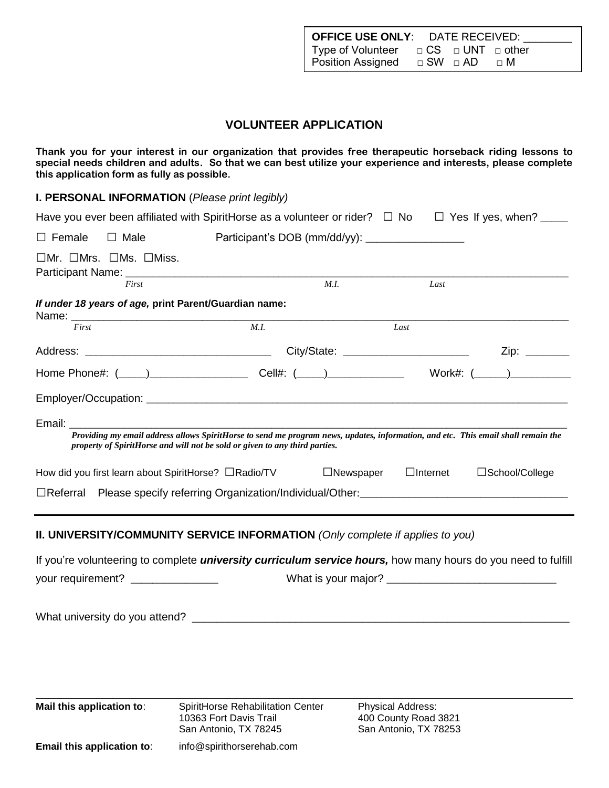| <b>OFFICE USE ONLY: DATE RECEIVED:</b>              |                 |  |
|-----------------------------------------------------|-----------------|--|
| Type of Volunteer $\Box$ CS $\Box$ UNT $\Box$ other |                 |  |
| <b>Position Assigned</b>                            | □ SW □ AD □ □ M |  |

#### **VOLUNTEER APPLICATION**

**Thank you for your interest in our organization that provides free therapeutic horseback riding lessons to special needs children and adults. So that we can best utilize your experience and interests, please complete this application form as fully as possible.**

**I. PERSONAL INFORMATION** (*Please print legibly)*

|               |                                                | Have you ever been affiliated with SpiritHorse as a volunteer or rider? $\Box$ No $\Box$ Yes If yes, when? ____                                                                                                                                                                                                                                                                                                                                                                                            |      |                                  |      |                     |
|---------------|------------------------------------------------|------------------------------------------------------------------------------------------------------------------------------------------------------------------------------------------------------------------------------------------------------------------------------------------------------------------------------------------------------------------------------------------------------------------------------------------------------------------------------------------------------------|------|----------------------------------|------|---------------------|
| $\Box$ Female | $\Box$ Male                                    |                                                                                                                                                                                                                                                                                                                                                                                                                                                                                                            |      |                                  |      |                     |
|               | $\Box$ Mr. $\Box$ Mrs. $\Box$ Ms. $\Box$ Miss. |                                                                                                                                                                                                                                                                                                                                                                                                                                                                                                            |      |                                  |      |                     |
|               | First                                          |                                                                                                                                                                                                                                                                                                                                                                                                                                                                                                            | M.I. |                                  | Last |                     |
|               |                                                | If under 18 years of age, print Parent/Guardian name:                                                                                                                                                                                                                                                                                                                                                                                                                                                      |      |                                  |      |                     |
| First         |                                                | $\overline{M.I.}$                                                                                                                                                                                                                                                                                                                                                                                                                                                                                          |      | Last                             |      |                     |
|               |                                                |                                                                                                                                                                                                                                                                                                                                                                                                                                                                                                            |      |                                  |      |                     |
|               |                                                | Home Phone#: (____)___________________________Cell#: (____)______________________ Work#: (_____)_____________                                                                                                                                                                                                                                                                                                                                                                                              |      |                                  |      |                     |
|               |                                                |                                                                                                                                                                                                                                                                                                                                                                                                                                                                                                            |      |                                  |      |                     |
|               |                                                | Email: Email: All and the state of the state of the state of the state of the state of the state of the state of the state of the state of the state of the state of the state of the state of the state of the state of the s<br>Providing my email address allows SpiritHorse to send me program news, updates, information, and etc. This email shall remain the<br>property of SpiritHorse and will not be sold or given to any third parties.<br>How did you first learn about SpiritHorse? □Radio/TV |      | $\Box$ Newspaper $\Box$ Internet |      | □School/College     |
|               |                                                | □Referral Please specify referring Organization/Individual/Other:<br>□Referral Please specify referring Organization/Individual/Other:                                                                                                                                                                                                                                                                                                                                                                     |      |                                  |      |                     |
|               |                                                | II. UNIVERSITY/COMMUNITY SERVICE INFORMATION (Only complete if applies to you)                                                                                                                                                                                                                                                                                                                                                                                                                             |      |                                  |      |                     |
|               |                                                | If you're volunteering to complete <i>university curriculum service hours</i> , how many hours do you need to fulfill                                                                                                                                                                                                                                                                                                                                                                                      |      |                                  |      |                     |
|               | your requirement? ________________             |                                                                                                                                                                                                                                                                                                                                                                                                                                                                                                            |      |                                  |      | What is your major? |
|               |                                                |                                                                                                                                                                                                                                                                                                                                                                                                                                                                                                            |      |                                  |      |                     |
|               |                                                |                                                                                                                                                                                                                                                                                                                                                                                                                                                                                                            |      |                                  |      |                     |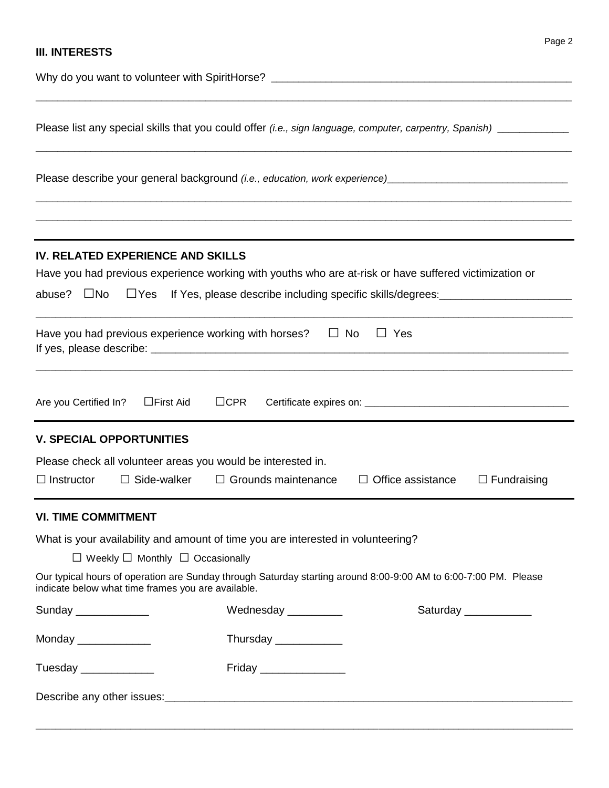### **III. INTERESTS**

| Please list any special skills that you could offer (i.e., sign language, computer, carpentry, Spanish) __________                                                                  |                                                                                  |                          |                      |
|-------------------------------------------------------------------------------------------------------------------------------------------------------------------------------------|----------------------------------------------------------------------------------|--------------------------|----------------------|
| Please describe your general background (i.e., education, work experience) [19] Denomination and the process of                                                                     |                                                                                  |                          |                      |
|                                                                                                                                                                                     |                                                                                  |                          |                      |
| IV. RELATED EXPERIENCE AND SKILLS<br>Have you had previous experience working with youths who are at-risk or have suffered victimization or<br>abuse?<br>$\square$ No<br>$\Box$ Yes | If Yes, please describe including specific skills/degrees: _____________________ |                          |                      |
| Have you had previous experience working with horses?                                                                                                                               | $\Box$ No                                                                        | $\Box$ Yes               |                      |
| Are you Certified In?<br>$\Box$ First Aid                                                                                                                                           | $\Box$ CPR                                                                       |                          |                      |
| <b>V. SPECIAL OPPORTUNITIES</b>                                                                                                                                                     |                                                                                  |                          |                      |
| Please check all volunteer areas you would be interested in.<br>$\Box$ Side-walker<br>$\Box$ Instructor                                                                             | $\Box$ Grounds maintenance                                                       | $\Box$ Office assistance | $\Box$ Fundraising   |
| <b>VI. TIME COMMITMENT</b>                                                                                                                                                          |                                                                                  |                          |                      |
| What is your availability and amount of time you are interested in volunteering?                                                                                                    |                                                                                  |                          |                      |
| $\Box$ Weekly $\Box$ Monthly $\Box$ Occasionally                                                                                                                                    |                                                                                  |                          |                      |
| Our typical hours of operation are Sunday through Saturday starting around 8:00-9:00 AM to 6:00-7:00 PM. Please<br>indicate below what time frames you are available.               |                                                                                  |                          |                      |
| Sunday _____________                                                                                                                                                                | Wednesday __________                                                             |                          | Saturday ___________ |
| Monday _____________                                                                                                                                                                | Thursday ____________                                                            |                          |                      |
| Tuesday ______________                                                                                                                                                              | Friday __________________                                                        |                          |                      |
|                                                                                                                                                                                     |                                                                                  |                          |                      |

\_\_\_\_\_\_\_\_\_\_\_\_\_\_\_\_\_\_\_\_\_\_\_\_\_\_\_\_\_\_\_\_\_\_\_\_\_\_\_\_\_\_\_\_\_\_\_\_\_\_\_\_\_\_\_\_\_\_\_\_\_\_\_\_\_\_\_\_\_\_\_\_\_\_\_\_\_\_\_\_\_\_\_\_\_\_\_\_\_\_\_\_\_\_\_\_\_\_\_\_\_\_\_\_\_\_\_\_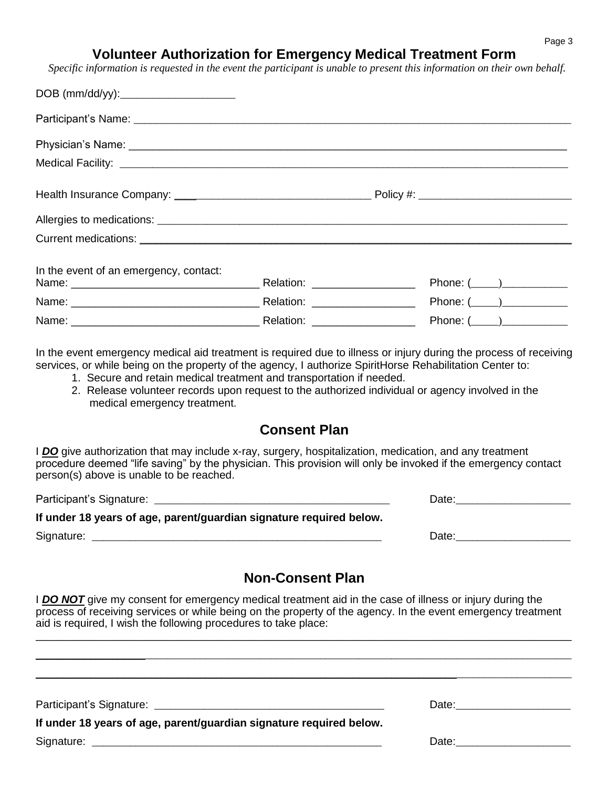# **Volunteer Authorization for Emergency Medical Treatment Form**

 *Specific information is requested in the event the participant is unable to present this information on their own behalf.*

| In the event of an emergency, contact: |  |                 |
|----------------------------------------|--|-----------------|
|                                        |  | Phone: $(\_\_)$ |
|                                        |  | Phone: $(\_\_)$ |
|                                        |  | Phone: $(\_\_)$ |

In the event emergency medical aid treatment is required due to illness or injury during the process of receiving services, or while being on the property of the agency, I authorize SpiritHorse Rehabilitation Center to:

- 1. Secure and retain medical treatment and transportation if needed.
- 2. Release volunteer records upon request to the authorized individual or agency involved in the medical emergency treatment.

### **Consent Plan**

I *DO* give authorization that may include x-ray, surgery, hospitalization, medication, and any treatment procedure deemed "life saving" by the physician. This provision will only be invoked if the emergency contact person(s) above is unable to be reached.

Participant's Signature: \_\_\_\_\_\_\_\_\_\_\_\_\_\_\_\_\_\_\_\_\_\_\_\_\_\_\_\_\_\_\_\_\_\_\_\_\_\_\_\_\_\_\_ Date:\_\_\_\_\_\_\_\_\_\_\_\_\_\_\_\_\_\_\_\_\_ **If under 18 years of age, parent/guardian signature required below.** Signature: \_\_\_\_\_\_\_\_\_\_\_\_\_\_\_\_\_\_\_\_\_\_\_\_\_\_\_\_\_\_\_\_\_\_\_\_\_\_\_\_\_\_\_\_\_\_\_\_\_\_\_\_\_ Date:\_\_\_\_\_\_\_\_\_\_\_\_\_\_\_\_\_\_\_\_\_

# **Non-Consent Plan**

I **DO NOT** give my consent for emergency medical treatment aid in the case of illness or injury during the process of receiving services or while being on the property of the agency. In the event emergency treatment aid is required, I wish the following procedures to take place:

 $\_$  , and the set of the set of the set of the set of the set of the set of the set of the set of the set of the set of the set of the set of the set of the set of the set of the set of the set of the set of the set of th \_\_\_\_\_\_\_\_\_\_\_\_\_\_\_\_\_\_\_\_\_\_\_\_\_\_\_\_\_\_\_\_\_\_\_\_\_\_\_\_\_\_\_\_\_\_\_\_\_\_\_\_\_\_\_\_\_\_\_\_\_\_\_\_\_\_\_\_\_\_\_\_\_\_\_\_\_\_\_\_\_\_\_\_\_\_\_\_\_\_\_\_\_\_\_\_\_\_  $\_$  ,  $\_$  ,  $\_$  ,  $\_$  ,  $\_$  ,  $\_$  ,  $\_$  ,  $\_$  ,  $\_$  ,  $\_$  ,  $\_$  ,  $\_$  ,  $\_$  ,  $\_$  ,  $\_$  ,  $\_$  ,  $\_$  ,  $\_$  ,  $\_$  ,  $\_$  ,  $\_$  ,  $\_$  ,  $\_$  ,  $\_$  ,  $\_$  ,  $\_$  ,  $\_$  ,  $\_$  ,  $\_$  ,  $\_$  ,  $\_$  ,  $\_$  ,  $\_$  ,  $\_$  ,  $\_$  ,  $\_$  ,  $\_$  ,

Participant's Signature: \_\_\_\_\_\_\_\_\_\_\_\_\_\_\_\_\_\_\_\_\_\_\_\_\_\_\_\_\_\_\_\_\_\_\_\_\_\_\_\_\_\_ Date:\_\_\_\_\_\_\_\_\_\_\_\_\_\_\_\_\_\_\_\_\_

| If under 18 years of age, parent/guardian signature required below. |  |
|---------------------------------------------------------------------|--|
|---------------------------------------------------------------------|--|

Signature: \_\_\_\_\_\_\_\_\_\_\_\_\_\_\_\_\_\_\_\_\_\_\_\_\_\_\_\_\_\_\_\_\_\_\_\_\_\_\_\_\_\_\_\_\_\_\_\_\_\_\_\_\_ Date:\_\_\_\_\_\_\_\_\_\_\_\_\_\_\_\_\_\_\_\_\_